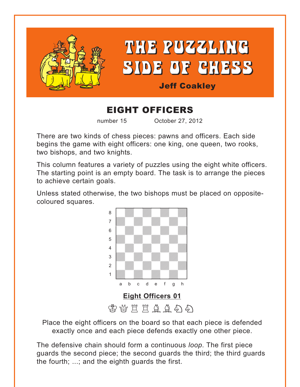<span id="page-0-0"></span>

# EIGHT OFFICERS

number 15 October 27, 2012

There are two kinds of chess pieces: pawns and officers. Each side begins the game with eight officers: one king, one queen, two rooks, two bishops, and two knights.

This column features a variety of puzzles using the eight white officers. The starting point is an empty board. The task is to arrange the pieces to achieve certain goals.

Unless stated otherwise, the two bishops must be placed on oppositecoloured squares. with the sum of the set of the set of the set of the set of the set of the set of the set of the set of the set of the set of the set of the set of the set of the set of the set of the set of the set of the set of the set



Place the eight officers on the board so that each piece is defended exactly once and each piece defends exactly one other piece.

The defensive chain should form a continuous *loop*. The first piece guards the second piece; the second guards the third; the third guards the fourth; ...; and the eighth guards the first.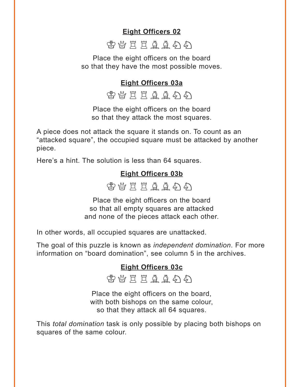## **[Eight Officers 02](#page-6-0)**



<span id="page-1-0"></span>Place the eight officers on the board so that they have the most possible moves.

## **[Eight Officers 03a](#page-6-0)**

**会议其其自自与的** 

Place the eight officers on the board so that they attack the most squares.

A piece does not attack the square it stands on. To count as an "attacked square", the occupied square must be attacked by another piece.

Here's a hint. The solution is less than 64 squares.

## **[Eight Officers 03b](#page-8-0)**



Place the eight officers on the board so that all empty squares are attacked and none of the pieces attack each other.

In other words, all occupied squares are unattacked.

The goal of this puzzle is known as *independent domination*. For more information on "board domination", see column 5 in the archives.

## **[Eight Officers 03c](#page-8-0)**

密替其其鱼鱼分

Place the eight officers on the board, with both bishops on the same colour, so that they attack all 64 squares.

This *total domination* task is only possible by placing both bishops on squares of the same colour.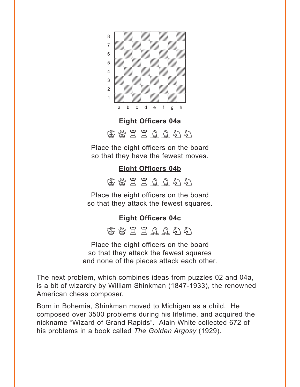<span id="page-2-0"></span>

#### **[Eight Officers 04a](#page-9-0)**

密替其草草草有

Place the eight officers on the board so that they have the fewest moves.

## **[Eight Officers 04b](#page-10-0)**

 $\mathfrak{B}$  ARC E A A A A  $\mathfrak{B}$ 

Place the eight officers on the board so that they attack the fewest squares.

#### **[Eight Officers 04c](#page-10-0)**

密替其其鱼鱼分

Place the eight officers on the board so that they attack the fewest squares and none of the pieces attack each other.

The next problem, which combines ideas from puzzles 02 and 04a, is a bit of wizardry by William Shinkman (1847-1933), the renowned American chess composer.

Born in Bohemia, Shinkman moved to Michigan as a child. He composed over 3500 problems during his lifetime, and acquired the nickname "Wizard of Grand Rapids". Alain White collected 672 of his problems in a book called *The Golden Argosy* (1929).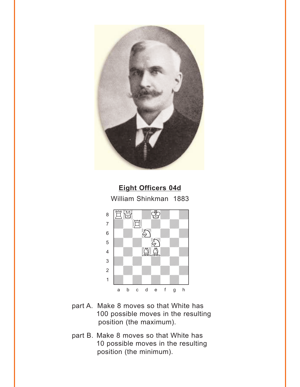<span id="page-3-0"></span>

## **[Eight Officers 04d](#page-11-0)** William Shinkman 1883



- part A. Make 8 moves so that White has 100 possible moves in the resulting position (the maximum).
- part B. Make 8 moves so that White has 10 possible moves in the resulting position (the minimum).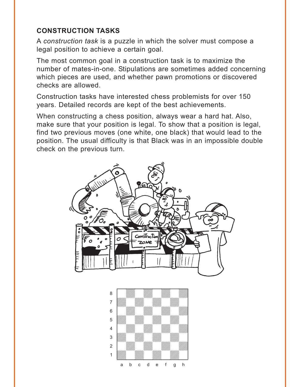### **CONSTRUCTION TASKS**

A *construction task* is a puzzle in which the solver must compose a legal position to achieve a certain goal.

The most common goal in a construction task is to maximize the number of mates-in-one. Stipulations are sometimes added concerning which pieces are used, and whether pawn promotions or discovered checks are allowed.

Construction tasks have interested chess problemists for over 150 years. Detailed records are kept of the best achievements.

When constructing a chess position, always wear a hard hat. Also, make sure that your position is legal. To show that a position is legal, find two previous moves (one white, one black) that would lead to the position. The usual difficulty is that Black was in an impossible double check on the previous turn.



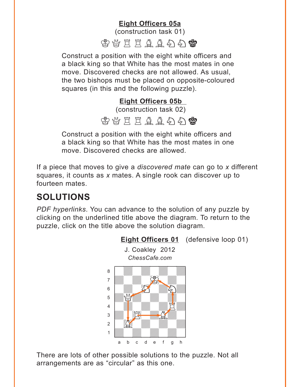## **[Eight Officers 05a](#page-12-0)**

(construction task 01)

 $\mathfrak{B}$  ARRA HOME

<span id="page-5-0"></span>Construct a position with the eight white officers and a black king so that White has the most mates in one move. Discovered checks are not allowed. As usual, the two bishops must be placed on opposite-coloured squares (in this and the following puzzle).

## **[Eight Officers 05b](#page-12-0)**

(construction task 02)

## 密替其自自自有容

Construct a position with the eight white officers and a black king so that White has the most mates in one move. Discovered checks are allowed.

If a piece that moves to give a *discovered mate* can go to *x* different squares, it counts as *x* mates. A single rook can discover up to fourteen mates.

## **SOLUTIONS**

*PDF hyperlinks*. You can advance to the solution of any puzzle by clicking on the underlined title above the diagram. To return to the puzzle, click on the title above the solution diagram.



There are lots of other possible solutions to the puzzle. Not all arrangements are as "circular" as this one.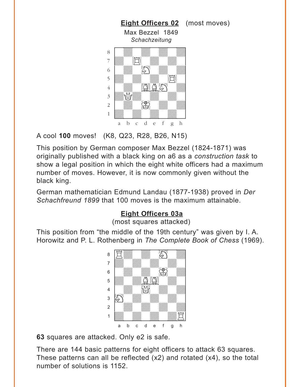<span id="page-6-0"></span>

A cool **100** moves! (K8, Q23, R28, B26, N15)

This position by German composer Max Bezzel (1824-1871) was originally published with a black king on a6 as a *construction task* to show a legal position in which the eight white officers had a maximum number of moves. However, it is now commonly given without the black king.

German mathematician Edmund Landau (1877-1938) proved in *Der Schachfreund 1899* that 100 moves is the maximum attainable.

## **[Eight Officers 03a](#page-1-0)**

(most squares attacked)

This position from "the middle of the 19th century" was given by I. A. Horowitz and P. L. Rothenberg in *The Complete Book of Chess* (1969).



**63** squares are attacked. Only e2 is safe.

There are 144 basic patterns for eight officers to attack 63 squares. These patterns can all be reflected (x2) and rotated (x4), so the total number of solutions is 1152.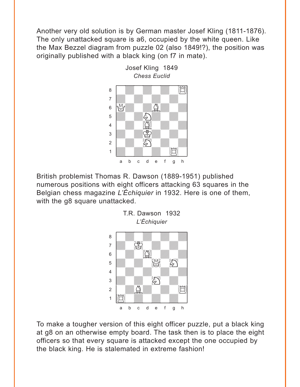Another very old solution is by German master Josef Kling (1811-1876). The only unattacked square is a6, occupied by the white queen. Like the Max Bezzel diagram from puzzle 02 (also 1849!?), the position was originally published with a black king (on f7 in mate).



British problemist Thomas R. Dawson (1889-1951) published numerous positions with eight officers attacking 63 squares in the Belgian chess magazine *L'Échiquier* in 1932. Here is one of them, with the g8 square unattacked.

T.R. Dawson 1932



To make a tougher version of this eight officer puzzle, put a black king at g8 on an otherwise empty board. The task then is to place the eight officers so that every square is attacked except the one occupied by the black king. He is stalemated in extreme fashion!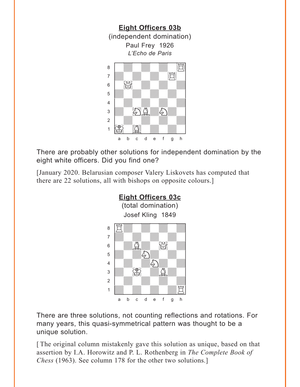<span id="page-8-0"></span>

There are probably other solutions for independent domination by the eight white officers. Did you find one?

[January 2020. Belarusian composer Valery Liskovets has computed that there are 22 solutions, all with bishops on opposite colours.]



There are three solutions, not counting reflections and rotations. For many years, this quasi-symmetrical pattern was thought to be a unique solution.

[ The original column mistakenly gave this solution as unique, based on that assertion by I.A. Horowitz and P. L. Rothenberg in *The Complete Book of Chess* (1963). See column 178 for the other two solutions.]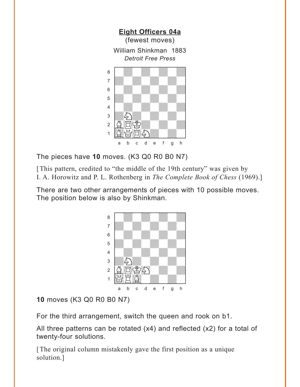<span id="page-9-0"></span>

The pieces have **10** moves. (K3 Q0 R0 B0 N7)

[This pattern, credited to "the middle of the 19th century" was given by I. A. Horowitz and P. L. Rothenberg in *The Complete Book of Chess* (1969).]

There are two other arrangements of pieces with 10 possible moves. The position below is also by Shinkman.



**10** moves (K3 Q0 R0 B0 N7)

For the third arrangement, switch the queen and rook on b1.

All three patterns can be rotated (x4) and reflected (x2) for a total of twenty-four solutions.

[The original column mistakenly gave the first position as a unique solution.]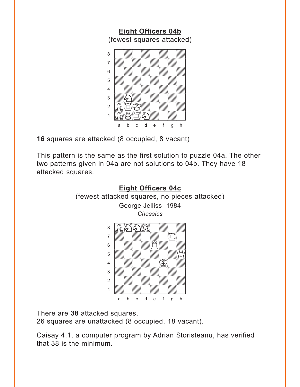<span id="page-10-0"></span>

**16** squares are attacked (8 occupied, 8 vacant)

This pattern is the same as the first solution to puzzle 04a. The other two patterns given in 04a are not solutions to 04b. They have 18 attacked squares.



There are **38** attacked squares.

26 squares are unattacked (8 occupied, 18 vacant).

Caisay 4.1, a computer program by Adrian Storisteanu, has verified that 38 is the minimum.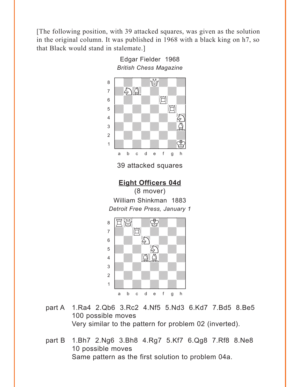<span id="page-11-0"></span>[The following position, with 39 attacked squares, was given as the solution in the original column. It was published in 1968 with a black king on h7, so that Black would stand in stalemate.]



- part A 1.Ra4 2.Qb6 3.Rc2 4.Nf5 5.Nd3 6.Kd7 7.Bd5 8.Be5 100 possible moves Very similar to the pattern for problem 02 (inverted).
- part B 1.Bh7 2.Ng6 3.Bh8 4.Rg7 5.Kf7 6.Qg8 7.Rf8 8.Ne8 10 possible moves Same pattern as the first solution to problem 04a.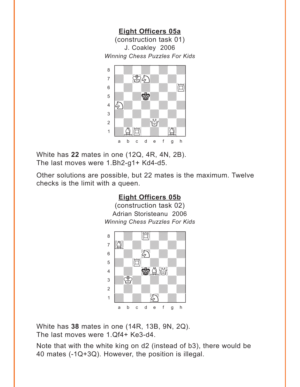<span id="page-12-0"></span>**[Eight Officers 05a](#page-5-0)** (construction task 01) J. Coakley 2006 *Winning Chess Puzzles For Kids* w\_\_\_\_\_\_\_\_w



White has **22** mates in one (12Q, 4R, 4N, 2B). The last moves were 1.Bh2-g1+ Kd4-d5.

Other solutions are possible, but 22 mates is the maximum. Twelve checks is the limit with a queen.

#### **[Eight Officers 05b](#page-5-0)** (construction task 02) Adrian Storisteanu 2006 *Winning Chess Puzzles For Kids* which is a constant of the contract of the contract of the contract of the contract of the contract of the contract of the contract of the contract of the contract of the contract of the contract of the contract of the con  $\bullet$  with  $\mathbb{Z}$  with  $\mathbb{Z}$ a Gwerdd ym y cyfeiriad yn y gwerdd yn y gwerdd yn y gwerdd yn y gwerdd yn y gwerdd yn y gwerdd yn y gwerdd y<br>Gwerdd yn y gwerdd yn y gwerdd yn y gwerdd yn y gwerdd yn y gwerdd yn y gwerdd yn y gwerdd yn y gwerdd yn y gw  $\begin{array}{ccc} \begin{array}{ccc} \text{6} & \text{8} & \text{8} & \text{8} & \text{8} & \text{8} & \text{8} & \text{8} & \text{8} & \text{8} & \text{8} & \text{8} & \text{8} & \text{8} & \text{8} & \text{8} & \text{8} & \text{8} & \text{8} & \text{8} & \text{8} & \text{8} & \text{8} & \text{8} & \text{8} & \text{8} & \text{8} & \text{8} & \text{8} & \text{8} & \text{8} & \text{8} & \text{8} & \text{8} & \text$  $\overline{\mathcal{L}}$  $\frac{4}{2}$   $\frac{1}{2}$  $\frac{1}{\sqrt{2}}$ 2 | *William William William William 1*  $\frac{1}{2}$ a b c d e f g h

White has **38** mates in one (14R, 13B, 9N, 2Q). The last moves were 1.Qf4+ Ke3-d4.

Note that with the white king on d2 (instead of b3), there would be 40 mates (-1Q+3Q). However, the position is illegal.